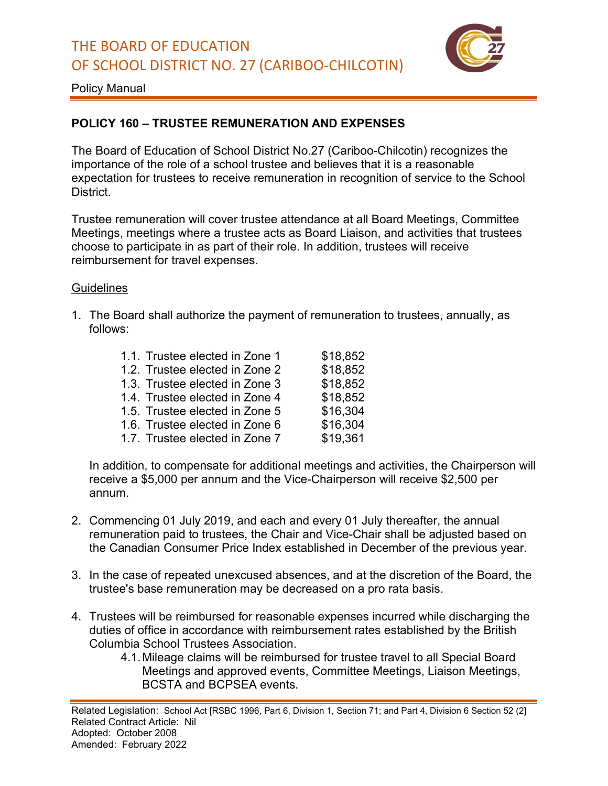

Policy Manual

## **POLICY 160 – TRUSTEE REMUNERATION AND EXPENSES**

The Board of Education of School District No.27 (Cariboo-Chilcotin) recognizes the importance of the role of a school trustee and believes that it is a reasonable expectation for trustees to receive remuneration in recognition of service to the School **District.** 

Trustee remuneration will cover trustee attendance at all Board Meetings, Committee Meetings, meetings where a trustee acts as Board Liaison, and activities that trustees choose to participate in as part of their role. In addition, trustees will receive reimbursement for travel expenses.

## **Guidelines**

1. The Board shall authorize the payment of remuneration to trustees, annually, as follows:

| 1.1. Trustee elected in Zone 1 | \$18,852 |
|--------------------------------|----------|
| 1.2. Trustee elected in Zone 2 | \$18,852 |
| 1.3. Trustee elected in Zone 3 | \$18,852 |
| 1.4. Trustee elected in Zone 4 | \$18,852 |
| 1.5. Trustee elected in Zone 5 | \$16,304 |
| 1.6. Trustee elected in Zone 6 | \$16,304 |
| 1.7. Trustee elected in Zone 7 | \$19,361 |
|                                |          |

In addition, to compensate for additional meetings and activities, the Chairperson will receive a \$5,000 per annum and the Vice-Chairperson will receive \$2,500 per annum.

- 2. Commencing 01 July 2019, and each and every 01 July thereafter, the annual remuneration paid to trustees, the Chair and Vice-Chair shall be adjusted based on the Canadian Consumer Price Index established in December of the previous year.
- 3. In the case of repeated unexcused absences, and at the discretion of the Board, the trustee's base remuneration may be decreased on a pro rata basis.
- 4. Trustees will be reimbursed for reasonable expenses incurred while discharging the duties of office in accordance with reimbursement rates established by the British Columbia School Trustees Association.
	- 4.1.Mileage claims will be reimbursed for trustee travel to all Special Board Meetings and approved events, Committee Meetings, Liaison Meetings, BCSTA and BCPSEA events.

Related Legislation: School Act [RSBC 1996, Part 6, Division 1, Section 71; and Part 4, Division 6 Section 52 (2] Related Contract Article: Nil Adopted: October 2008 Amended: February 2022